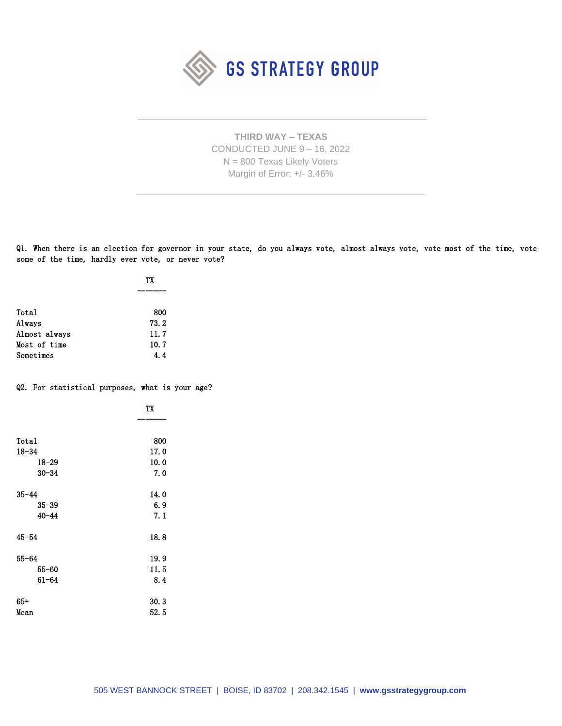

**THIRD WAY – TEXAS** CONDUCTED JUNE 9 – 16, 2022 N = 800 Texas Likely Voters Margin of Error: +/- 3.46%

Q1. When there is an election for governor in your state, do you always vote, almost always vote, vote most of the time, vote some of the time, hardly ever vote, or never vote?

|               | ТX   |  |
|---------------|------|--|
|               |      |  |
| Total         | 800  |  |
| Always        | 73.2 |  |
| Almost always | 11.7 |  |
| Most of time  | 10.7 |  |
| Sometimes     | 4.4  |  |

## Q2. For statistical purposes, what is your age?

|           | TX   |
|-----------|------|
|           |      |
| Total     | 800  |
| $18 - 34$ | 17.0 |
| 18–29     | 10.0 |
| $30 - 34$ | 7.0  |
| $35 - 44$ | 14.0 |
| $35 - 39$ | 6.9  |
| $40 - 44$ | 7.1  |
| $45 - 54$ | 18.8 |
| $55 - 64$ | 19.9 |
| $55 - 60$ | 11.5 |
| $61 - 64$ | 8.4  |
| $65+$     | 30.3 |
| Mean      | 52.5 |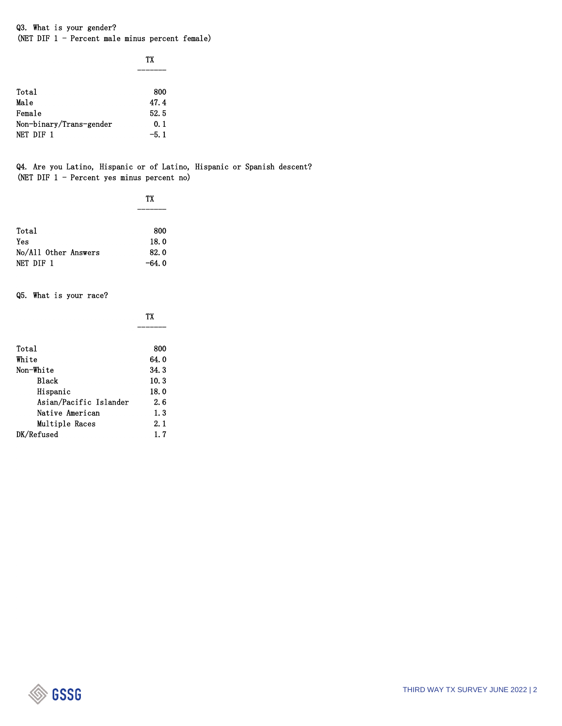Q3. What is your gender? (NET DIF 1 - Percent male minus percent female)

|                         | ТX   |
|-------------------------|------|
|                         |      |
| Total                   | 800  |
| Male                    | 47.4 |
| Female                  | 52.5 |
| Non-binary/Trans-gender | 0.1  |
| NET DIF 1               | -5.1 |

Q4. Are you Latino, Hispanic or of Latino, Hispanic or Spanish descent? (NET DIF 1 - Percent yes minus percent no)

|                      | ТX      |  |
|----------------------|---------|--|
|                      |         |  |
|                      |         |  |
| Total                | 800     |  |
| Yes                  | 18.0    |  |
| No/All Other Answers | 82.0    |  |
| NET DIF 1            | $-64.0$ |  |

Q5. What is your race?

|                        | ТX   |  |
|------------------------|------|--|
|                        |      |  |
| Total                  | 800  |  |
| White                  | 64.0 |  |
| Non-White              | 34.3 |  |
| <b>Black</b>           | 10.3 |  |
| Hispanic               | 18.0 |  |
| Asian/Pacific Islander | 2. 6 |  |
| Native American        | 1.3  |  |
| Multiple Races         | 2.1  |  |
| DK/Refused             | 1.7  |  |

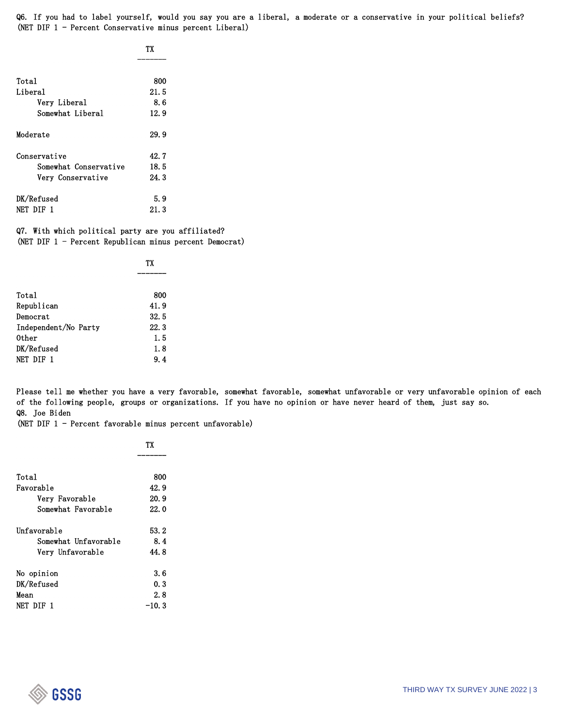Q6. If you had to label yourself, would you say you are a liberal, a moderate or a conservative in your political beliefs? (NET DIF 1 - Percent Conservative minus percent Liberal)

| TX |
|----|
|    |

| Total                 | 800  |  |
|-----------------------|------|--|
| Liberal               | 21.5 |  |
| Very Liberal          | 8. 6 |  |
| Somewhat Liberal      | 12.9 |  |
| Moderate              | 29.9 |  |
| Conservative          | 42.7 |  |
| Somewhat Conservative | 18.5 |  |
| Very Conservative     | 24.3 |  |
| DK/Refused            | 5.9  |  |
| NET DIF 1             | 21.3 |  |

Q7. With which political party are you affiliated? (NET DIF 1 - Percent Republican minus percent Democrat)

|                      | ТX   |
|----------------------|------|
|                      |      |
| Total                | 800  |
| Republican           | 41.9 |
| Democrat             | 32.5 |
| Independent/No Party | 22.3 |
| 0ther                | 1.5  |
| DK/Refused           | 1.8  |
| NET DIF 1            | 9.4  |

Please tell me whether you have a very favorable, somewhat favorable, somewhat unfavorable or very unfavorable opinion of each of the following people, groups or organizations. If you have no opinion or have never heard of them, just say so. Q8. Joe Biden

(NET DIF 1 - Percent favorable minus percent unfavorable)

|                      | ТX    |
|----------------------|-------|
|                      |       |
| Total                | 800   |
| Favorable            | 42.9  |
| Very Favorable       | 20.9  |
| Somewhat Favorable   | 22.0  |
| Unfavorable          | 53.2  |
| Somewhat Unfavorable | 8.4   |
| Very Unfavorable     | 44.8  |
| No opinion           | 3.6   |
| DK/Refused           | 0.3   |
| Mean                 | 2. 8  |
| NET DIF 1            | -10.3 |

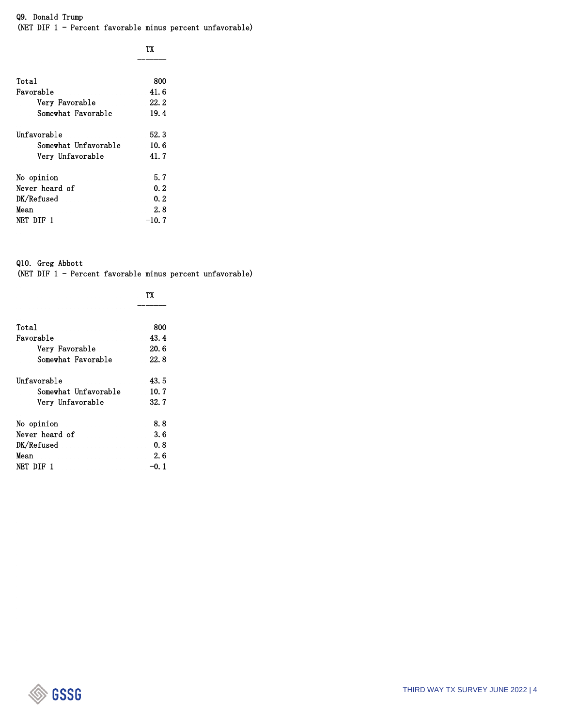## Q9. Donald Trump (NET DIF 1 - Percent favorable minus percent unfavorable)

|  | TX |
|--|----|

| Total                | 800   |
|----------------------|-------|
| Favorable            | 41.6  |
| Very Favorable       | 22. 2 |
| Somewhat Favorable   | 19.4  |
| Unfavorable          | 52.3  |
| Somewhat Unfavorable | 10.6  |
| Very Unfavorable     | 41.7  |
| No opinion           | 5.7   |
| Never heard of       | 0.2   |
| DK/Refused           | 0.2   |
| Mean                 | 2.8   |
| NET DIE 1            | -10.7 |
|                      |       |

Q10. Greg Abbott (NET DIF 1 - Percent favorable minus percent unfavorable)

|                      | TХ    |
|----------------------|-------|
|                      |       |
| Total                | 800   |
| Favorable            | 43.4  |
| Very Favorable       | 20.6  |
| Somewhat Favorable   | 22. 8 |
| Unfavorable          | 43.5  |
| Somewhat Unfavorable | 10.7  |
| Verv Unfavorable     | 32.7  |
| No opinion           | 8.8   |
| Never heard of       | 3. 6  |
| DK/Refused           | 0.8   |
| Mean                 | 2.6   |
| NET DIF 1            | -0. 1 |

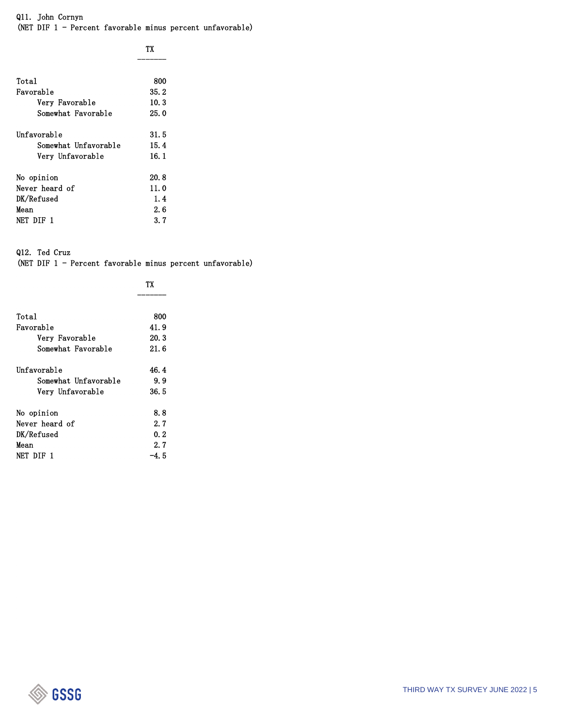Q11. John Cornyn (NET DIF 1 - Percent favorable minus percent unfavorable)

| Total                | 800   |
|----------------------|-------|
| Favorable            | 35.2  |
| Very Favorable       | 10.3  |
| Somewhat Favorable   | 25.0  |
| Unfavorable          | 31. 5 |
| Somewhat Unfavorable | 15.4  |
| Very Unfavorable     | 16. 1 |
| No opinion           | 20.8  |
| Never heard of       | 11.0  |
| DK/Refused           | 1.4   |
| Mean                 | 2.6   |
| NET DIE 1            | 3. 7  |
|                      |       |

Q12. Ted Cruz

(NET DIF 1 - Percent favorable minus percent unfavorable)

| Total                | 800   |
|----------------------|-------|
| Favorable            | 41.9  |
| Very Favorable       | 20.3  |
| Somewhat Favorable   | 21.6  |
| Unfavorable          | 46.4  |
| Somewhat Unfavorable | 9.9   |
| Very Unfavorable     | 36.5  |
| No opinion           | 8.8   |
| Never heard of       | 2.7   |
| DK/Refused           | 0.2   |
| Mean                 | 2.7   |
| NET DIF 1            | -4. 5 |

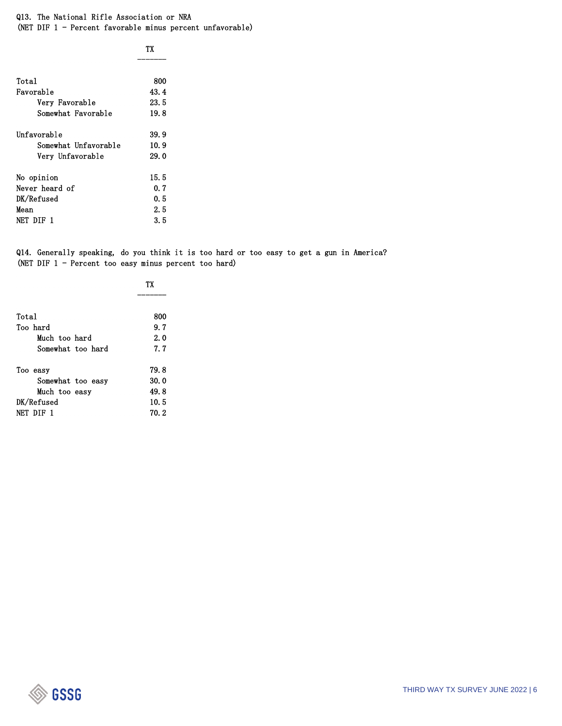Q13. The National Rifle Association or NRA (NET DIF 1 - Percent favorable minus percent unfavorable)

|                      | ТX    |
|----------------------|-------|
| Total                | 800   |
| Favorable            | 43.4  |
| Very Favorable       | 23. 5 |
| Somewhat Favorable   | 19.8  |
| Unfavorable          | 39.9  |
| Somewhat Unfavorable | 10.9  |
| Very Unfavorable     | 29.0  |
| No opinion           | 15. 5 |
| Never heard of       | 0.7   |
| DK/Refused           | 0. 5  |
| Mean                 | 2.5   |
| NET DIE 1            | 3. 5  |

Q14. Generally speaking, do you think it is too hard or too easy to get a gun in America? (NET DIF 1 - Percent too easy minus percent too hard)

| Total             | 800   |
|-------------------|-------|
| Too hard          | 9.7   |
| Much too hard     | 2.0   |
| Somewhat too hard | 7.7   |
| Too easy          | 79.8  |
| Somewhat too easy | 30.0  |
| Much too easy     | 49.8  |
| DK/Refused        | 10.5  |
| NET DIF 1         | 70. 2 |

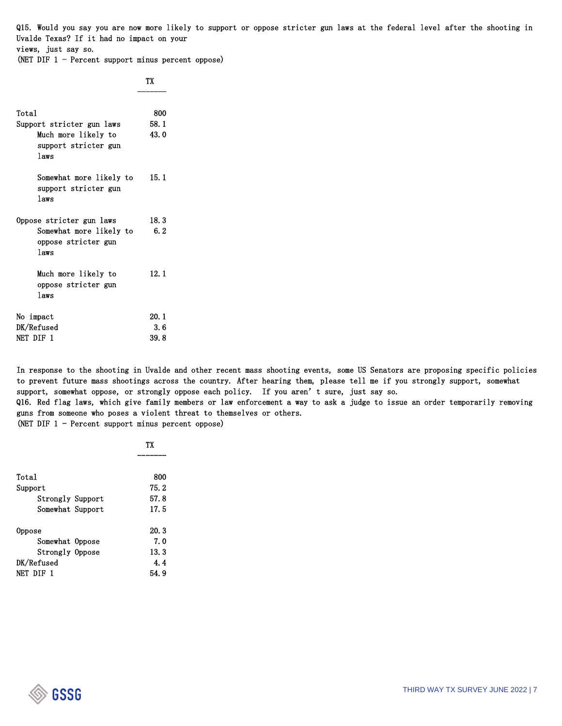Q15. Would you say you are now more likely to support or oppose stricter gun laws at the federal level after the shooting in Uvalde Texas? If it had no impact on your views, just say so.

(NET DIF 1 - Percent support minus percent oppose)

|                                                         | ТX   |  |
|---------------------------------------------------------|------|--|
| Total                                                   | 800  |  |
| Support stricter gun laws                               | 58.1 |  |
| Much more likely to<br>support stricter gun<br>laws     | 43.0 |  |
| Somewhat more likely to<br>support stricter gun<br>laws | 15.1 |  |
| Oppose stricter gun laws                                | 18.3 |  |
| Somewhat more likely to<br>oppose stricter gun<br>laws  | 6.2  |  |
| Much more likely to<br>oppose stricter gun<br>laws      | 12.1 |  |
| No impact                                               | 20.1 |  |
| DK/Refused                                              | 3.6  |  |
| NET DIF 1                                               | 39.8 |  |

In response to the shooting in Uvalde and other recent mass shooting events, some US Senators are proposing specific policies to prevent future mass shootings across the country. After hearing them, please tell me if you strongly support, somewhat support, somewhat oppose, or strongly oppose each policy. If you aren't sure, just say so. Q16. Red flag laws, which give family members or law enforcement a way to ask a judge to issue an order temporarily removing

guns from someone who poses a violent threat to themselves or others.

(NET DIF 1 - Percent support minus percent oppose)

|                  | ТX    |
|------------------|-------|
|                  |       |
| Total            | 800   |
| Support          | 75.2  |
| Strongly Support | 57.8  |
| Somewhat Support | 17.5  |
| Oppose           | 20.3  |
| Somewhat Oppose  | 7.0   |
| Strongly Oppose  | 13.3  |
| DK/Refused       | 4.4   |
| NET DIF 1        | 54. 9 |

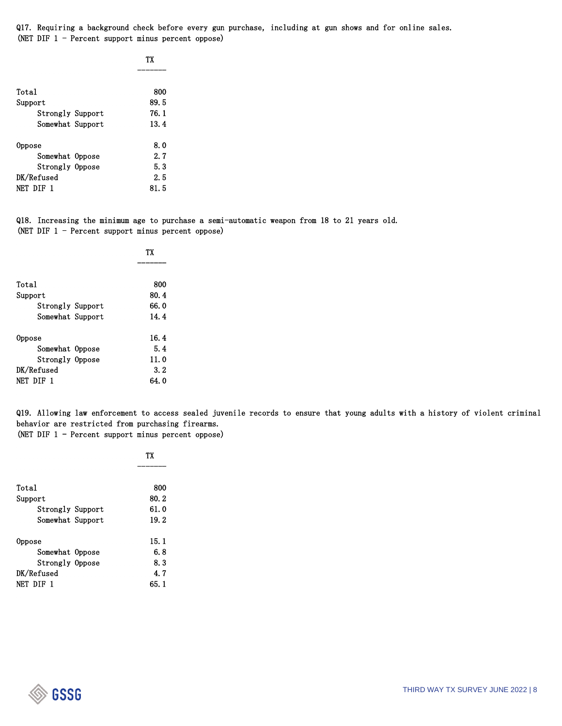Q17. Requiring a background check before every gun purchase, including at gun shows and for online sales. (NET DIF 1 - Percent support minus percent oppose)

|                  | ТX   |
|------------------|------|
|                  |      |
| Total            | 800  |
| Support          | 89.5 |
| Strongly Support | 76.1 |
| Somewhat Support | 13.4 |
| Oppose           | 8.0  |
| Somewhat Oppose  | 2.7  |
| Strongly Oppose  | 5.3  |
| DK/Refused       | 2.5  |
| NET DIF 1        | 81.5 |

Q18. Increasing the minimum age to purchase a semi-automatic weapon from 18 to 21 years old. (NET DIF 1 - Percent support minus percent oppose)

|                  | ТX    |
|------------------|-------|
|                  |       |
| Total            | 800   |
| Support          | 80.4  |
| Strongly Support | 66. 0 |
| Somewhat Support | 14.4  |
| Oppose           | 16.4  |
| Somewhat Oppose  | 5.4   |
| Strongly Oppose  | 11.0  |
| DK/Refused       | 3.2   |
| NET DIF 1        | 64. 0 |

Q19. Allowing law enforcement to access sealed juvenile records to ensure that young adults with a history of violent criminal behavior are restricted from purchasing firearms. (NET DIF 1 - Percent support minus percent oppose)

|                  | ТX   |
|------------------|------|
|                  |      |
| Total            | 800  |
| Support          | 80.2 |
| Strongly Support | 61.0 |
| Somewhat Support | 19.2 |
| Oppose           | 15.1 |
| Somewhat Oppose  | 6. 8 |
| Strongly Oppose  | 8.3  |
| DK/Refused       | 4. 7 |
| NET DIF          | 65.1 |

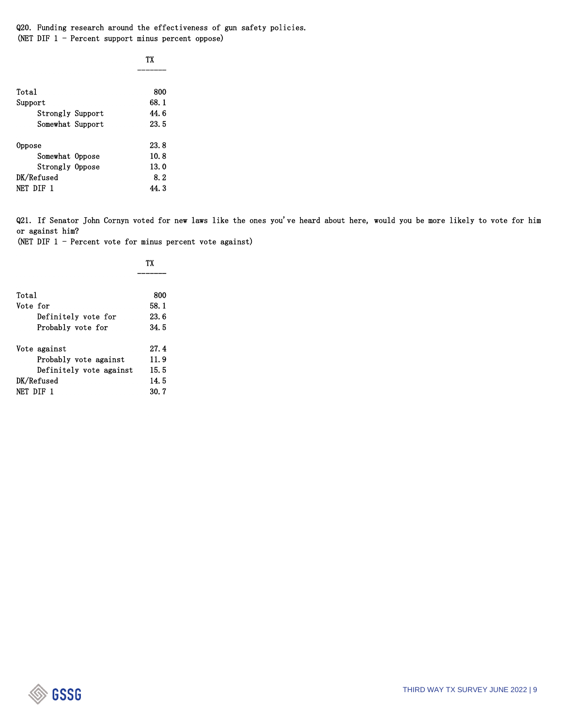Q20. Funding research around the effectiveness of gun safety policies. (NET DIF 1 - Percent support minus percent oppose)

|                  | ТX    |
|------------------|-------|
|                  |       |
| Total            | 800   |
| Support          | 68.1  |
| Strongly Support | 44.6  |
| Somewhat Support | 23.5  |
| Oppose           | 23.8  |
| Somewhat Oppose  | 10.8  |
| Strongly Oppose  | 13.0  |
| DK/Refused       | 8.2   |
| NET DIF 1        | 44. 3 |

Q21. If Senator John Cornyn voted for new laws like the ones you've heard about here, would you be more likely to vote for him or against him?

(NET DIF 1 - Percent vote for minus percent vote against)

|                         | TХ    |
|-------------------------|-------|
|                         |       |
| Total                   | 800   |
| Vote for                | 58.1  |
| Definitely vote for     | 23.6  |
| Probably vote for       | 34.5  |
| Vote against            | 27.4  |
| Probably vote against   | 11.9  |
| Definitely vote against | 15.5  |
| DK/Refused              | 14.5  |
| NET DIF 1               | 30. 7 |

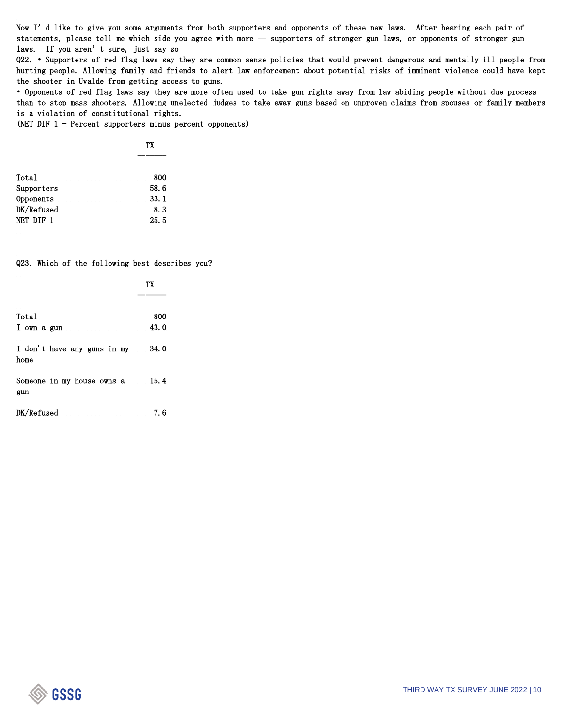Now I'd like to give you some arguments from both supporters and opponents of these new laws. After hearing each pair of statements, please tell me which side you agree with more — supporters of stronger gun laws, or opponents of stronger gun laws. If you aren't sure, just say so

Q22. • Supporters of red flag laws say they are common sense policies that would prevent dangerous and mentally ill people from hurting people. Allowing family and friends to alert law enforcement about potential risks of imminent violence could have kept the shooter in Uvalde from getting access to guns.

• Opponents of red flag laws say they are more often used to take gun rights away from law abiding people without due process than to stop mass shooters. Allowing unelected judges to take away guns based on unproven claims from spouses or family members is a violation of constitutional rights.

(NET DIF 1 - Percent supporters minus percent opponents)

|            | TX   |
|------------|------|
|            |      |
| Total      | 800  |
| Supporters | 58.6 |
| Opponents  | 33.1 |
| DK/Refused | 8.3  |
| NET DIF 1  | 25.5 |

Q23. Which of the following best describes you?

| 800  |      |
|------|------|
| 34.0 |      |
| 15.4 |      |
| 7. 6 |      |
|      | 43.0 |

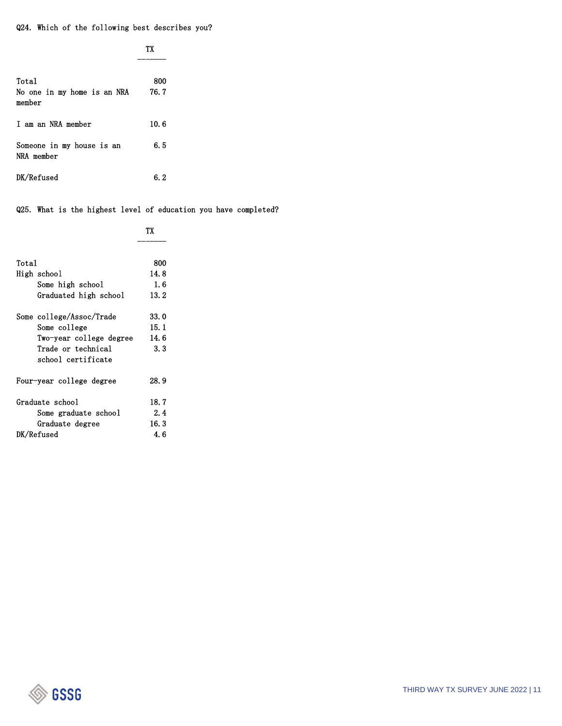Q24. Which of the following best describes you?

|                                         | ТX   |
|-----------------------------------------|------|
| Total                                   | 800  |
| No one in my home is an NRA<br>member   | 76.7 |
| I am an NRA member                      | 10.6 |
| Someone in my house is an<br>NRA member | 6. 5 |
| DK/Refused                              | 6. 2 |

Q25. What is the highest level of education you have completed?

|                          | ТX   |
|--------------------------|------|
|                          |      |
| Total                    | 800  |
| High school              | 14.8 |
| Some high school         | 1.6  |
| Graduated high school    | 13.2 |
| Some college/Assoc/Trade | 33.0 |
| Some college             | 15.1 |
| Two-year college degree  | 14.6 |
| Trade or technical       | 3.3  |
| school certificate       |      |
| Four-year college degree | 28.9 |
| Graduate school          | 18.7 |
| Some graduate school     | 2.4  |
| Graduate degree          | 16.3 |
| DK/Refused               | 4. 6 |

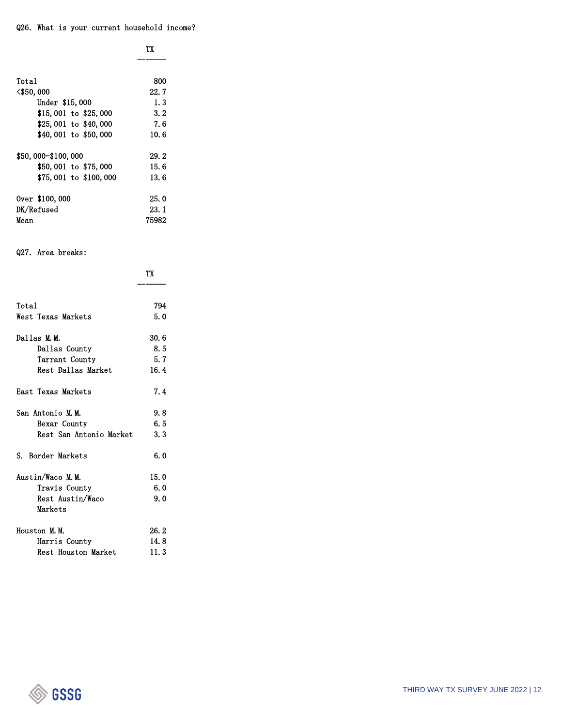| Total                  | 800   |
|------------------------|-------|
| <\$50,000              | 22. 7 |
| Under \$15,000         | 1.3   |
| $$15,001$ to $$25,000$ | 3.2   |
| $$25,001$ to $$40,000$ | 7.6   |
| \$40,001 to \$50,000   | 10.6  |
| \$50,000-\$100,000     | 29.2  |
| \$50,001 to \$75,000   | 15.6  |
| \$75,001 to \$100,000  | 13.6  |
| Over \$100,000         | 25.0  |
| DK/Refused             | 23. 1 |
| Mean                   | 75982 |

## Q27. Area breaks:

|                         | TX    |
|-------------------------|-------|
|                         |       |
| Total                   | 794   |
| West Texas Markets      | 5.0   |
| Dallas M.M.             | 30. 6 |
| Dallas County           | 8.5   |
| Tarrant County          | 5.7   |
| Rest Dallas Market      | 16.4  |
| East Texas Markets      | 7.4   |
| San Antonio M.M.        | 9.8   |
| Bexar County            | 6.5   |
| Rest San Antonio Market | 3.3   |
| S. Border Markets       | 6.0   |
| Austin/Waco M.M.        | 15.0  |
| Travis County           | 6.0   |
| Rest Austin/Waco        | 9.0   |
| Markets                 |       |
| Houston M.M.            | 26.2  |
| Harris County           | 14.8  |
| Rest Houston Market     | 11.3  |